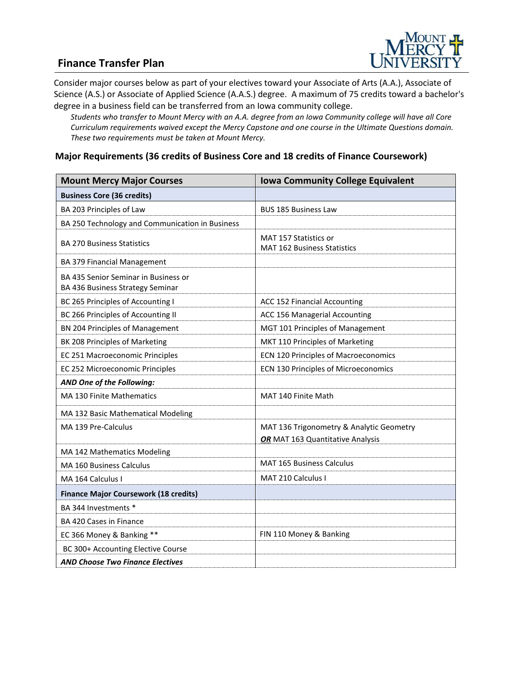# **Finance Transfer Plan**



Consider major courses below as part of your electives toward your Associate of Arts (A.A.), Associate of Science (A.S.) or Associate of Applied Science (A.A.S.) degree. A maximum of 75 credits toward a bachelor's degree in a business field can be transferred from an Iowa community college.

*Students who transfer to Mount Mercy with an A.A. degree from an Iowa Community college will have all Core Curriculum requirements waived except the Mercy Capstone and one course in the Ultimate Questions domain. These two requirements must be taken at Mount Mercy.*

#### **Major Requirements (36 credits of Business Core and 18 credits of Finance Coursework)**

| <b>Mount Mercy Major Courses</b>                                         | <b>Iowa Community College Equivalent</b>                                     |
|--------------------------------------------------------------------------|------------------------------------------------------------------------------|
| <b>Business Core (36 credits)</b>                                        |                                                                              |
| BA 203 Principles of Law                                                 | <b>BUS 185 Business Law</b>                                                  |
| BA 250 Technology and Communication in Business                          |                                                                              |
| <b>BA 270 Business Statistics</b>                                        | MAT 157 Statistics or<br><b>MAT 162 Business Statistics</b>                  |
| BA 379 Financial Management                                              |                                                                              |
| BA 435 Senior Seminar in Business or<br>BA 436 Business Strategy Seminar |                                                                              |
| BC 265 Principles of Accounting I                                        | ACC 152 Financial Accounting                                                 |
| BC 266 Principles of Accounting II                                       | ACC 156 Managerial Accounting                                                |
| BN 204 Principles of Management                                          | MGT 101 Principles of Management                                             |
| BK 208 Principles of Marketing                                           | MKT 110 Principles of Marketing                                              |
| EC 251 Macroeconomic Principles                                          | ECN 120 Principles of Macroeconomics                                         |
| EC 252 Microeconomic Principles                                          | ECN 130 Principles of Microeconomics                                         |
| AND One of the Following:                                                |                                                                              |
| MA 130 Finite Mathematics                                                | MAT 140 Finite Math                                                          |
| MA 132 Basic Mathematical Modeling                                       |                                                                              |
| MA 139 Pre-Calculus                                                      | MAT 136 Trigonometry & Analytic Geometry<br>OR MAT 163 Quantitative Analysis |
| MA 142 Mathematics Modeling                                              |                                                                              |
| MA 160 Business Calculus                                                 | <b>MAT 165 Business Calculus</b>                                             |
| MA 164 Calculus I                                                        | MAT 210 Calculus I                                                           |
| <b>Finance Major Coursework (18 credits)</b>                             |                                                                              |
| BA 344 Investments *                                                     |                                                                              |
| BA 420 Cases in Finance                                                  |                                                                              |
| EC 366 Money & Banking **                                                | FIN 110 Money & Banking                                                      |
| BC 300+ Accounting Elective Course                                       |                                                                              |
| <b>AND Choose Two Finance Electives</b>                                  |                                                                              |